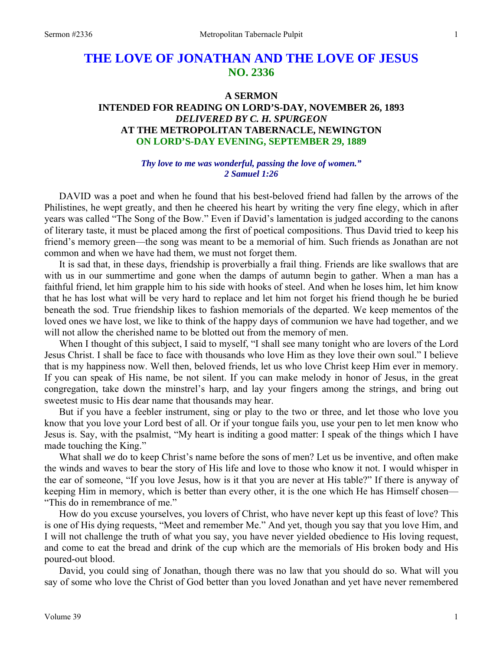# **THE LOVE OF JONATHAN AND THE LOVE OF JESUS NO. 2336**

### **A SERMON**

# **INTENDED FOR READING ON LORD'S-DAY, NOVEMBER 26, 1893**  *DELIVERED BY C. H. SPURGEON*  **AT THE METROPOLITAN TABERNACLE, NEWINGTON ON LORD'S-DAY EVENING, SEPTEMBER 29, 1889**

## *Thy love to me was wonderful, passing the love of women." 2 Samuel 1:26*

DAVID was a poet and when he found that his best-beloved friend had fallen by the arrows of the Philistines, he wept greatly, and then he cheered his heart by writing the very fine elegy, which in after years was called "The Song of the Bow." Even if David's lamentation is judged according to the canons of literary taste, it must be placed among the first of poetical compositions. Thus David tried to keep his friend's memory green—the song was meant to be a memorial of him. Such friends as Jonathan are not common and when we have had them, we must not forget them.

It is sad that, in these days, friendship is proverbially a frail thing. Friends are like swallows that are with us in our summertime and gone when the damps of autumn begin to gather. When a man has a faithful friend, let him grapple him to his side with hooks of steel. And when he loses him, let him know that he has lost what will be very hard to replace and let him not forget his friend though he be buried beneath the sod. True friendship likes to fashion memorials of the departed. We keep mementos of the loved ones we have lost, we like to think of the happy days of communion we have had together, and we will not allow the cherished name to be blotted out from the memory of men.

When I thought of this subject, I said to myself, "I shall see many tonight who are lovers of the Lord Jesus Christ. I shall be face to face with thousands who love Him as they love their own soul." I believe that is my happiness now. Well then, beloved friends, let us who love Christ keep Him ever in memory. If you can speak of His name, be not silent. If you can make melody in honor of Jesus, in the great congregation, take down the minstrel's harp, and lay your fingers among the strings, and bring out sweetest music to His dear name that thousands may hear.

But if you have a feebler instrument, sing or play to the two or three, and let those who love you know that you love your Lord best of all. Or if your tongue fails you, use your pen to let men know who Jesus is. Say, with the psalmist, "My heart is inditing a good matter: I speak of the things which I have made touching the King."

What shall *we* do to keep Christ's name before the sons of men? Let us be inventive, and often make the winds and waves to bear the story of His life and love to those who know it not. I would whisper in the ear of someone, "If you love Jesus, how is it that you are never at His table?" If there is anyway of keeping Him in memory, which is better than every other, it is the one which He has Himself chosen— "This do in remembrance of me."

How do you excuse yourselves, you lovers of Christ, who have never kept up this feast of love? This is one of His dying requests, "Meet and remember Me." And yet, though you say that you love Him, and I will not challenge the truth of what you say, you have never yielded obedience to His loving request, and come to eat the bread and drink of the cup which are the memorials of His broken body and His poured-out blood.

David, you could sing of Jonathan, though there was no law that you should do so. What will you say of some who love the Christ of God better than you loved Jonathan and yet have never remembered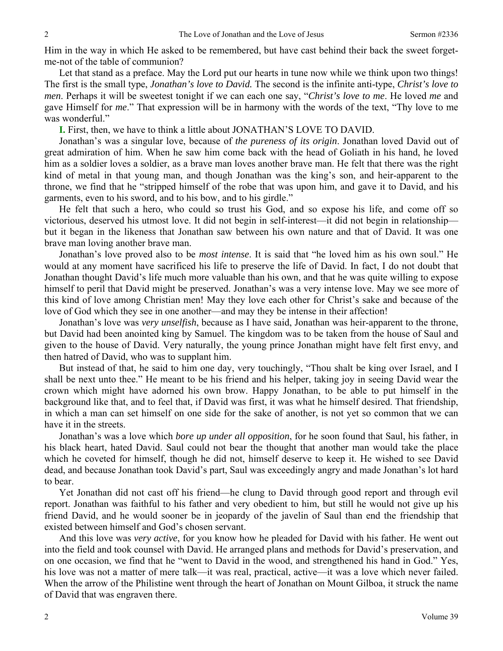Him in the way in which He asked to be remembered, but have cast behind their back the sweet forgetme-not of the table of communion?

Let that stand as a preface. May the Lord put our hearts in tune now while we think upon two things! The first is the small type, *Jonathan's love to David.* The second is the infinite anti-type, *Christ's love to men*. Perhaps it will be sweetest tonight if we can each one say, "*Christ's love to me*. He loved *me* and gave Himself for *me*." That expression will be in harmony with the words of the text, "Thy love to me was wonderful."

**I.** First, then, we have to think a little about JONATHAN'S LOVE TO DAVID.

Jonathan's was a singular love, because of *the pureness of its origin*. Jonathan loved David out of great admiration of him. When he saw him come back with the head of Goliath in his hand, he loved him as a soldier loves a soldier, as a brave man loves another brave man. He felt that there was the right kind of metal in that young man, and though Jonathan was the king's son, and heir-apparent to the throne, we find that he "stripped himself of the robe that was upon him, and gave it to David, and his garments, even to his sword, and to his bow, and to his girdle."

He felt that such a hero, who could so trust his God, and so expose his life, and come off so victorious, deserved his utmost love. It did not begin in self-interest—it did not begin in relationship but it began in the likeness that Jonathan saw between his own nature and that of David. It was one brave man loving another brave man.

Jonathan's love proved also to be *most intense*. It is said that "he loved him as his own soul." He would at any moment have sacrificed his life to preserve the life of David. In fact, I do not doubt that Jonathan thought David's life much more valuable than his own, and that he was quite willing to expose himself to peril that David might be preserved. Jonathan's was a very intense love. May we see more of this kind of love among Christian men! May they love each other for Christ's sake and because of the love of God which they see in one another—and may they be intense in their affection!

Jonathan's love was *very unselfish*, because as I have said, Jonathan was heir-apparent to the throne, but David had been anointed king by Samuel. The kingdom was to be taken from the house of Saul and given to the house of David. Very naturally, the young prince Jonathan might have felt first envy, and then hatred of David, who was to supplant him.

But instead of that, he said to him one day, very touchingly, "Thou shalt be king over Israel, and I shall be next unto thee." He meant to be his friend and his helper, taking joy in seeing David wear the crown which might have adorned his own brow. Happy Jonathan, to be able to put himself in the background like that, and to feel that, if David was first, it was what he himself desired. That friendship, in which a man can set himself on one side for the sake of another, is not yet so common that we can have it in the streets.

Jonathan's was a love which *bore up under all opposition*, for he soon found that Saul, his father, in his black heart, hated David. Saul could not bear the thought that another man would take the place which he coveted for himself, though he did not, himself deserve to keep it. He wished to see David dead, and because Jonathan took David's part, Saul was exceedingly angry and made Jonathan's lot hard to bear.

Yet Jonathan did not cast off his friend—he clung to David through good report and through evil report. Jonathan was faithful to his father and very obedient to him, but still he would not give up his friend David, and he would sooner be in jeopardy of the javelin of Saul than end the friendship that existed between himself and God's chosen servant.

And this love was *very active*, for you know how he pleaded for David with his father. He went out into the field and took counsel with David. He arranged plans and methods for David's preservation, and on one occasion, we find that he "went to David in the wood, and strengthened his hand in God." Yes, his love was not a matter of mere talk—it was real, practical, active—it was a love which never failed. When the arrow of the Philistine went through the heart of Jonathan on Mount Gilboa, it struck the name of David that was engraven there.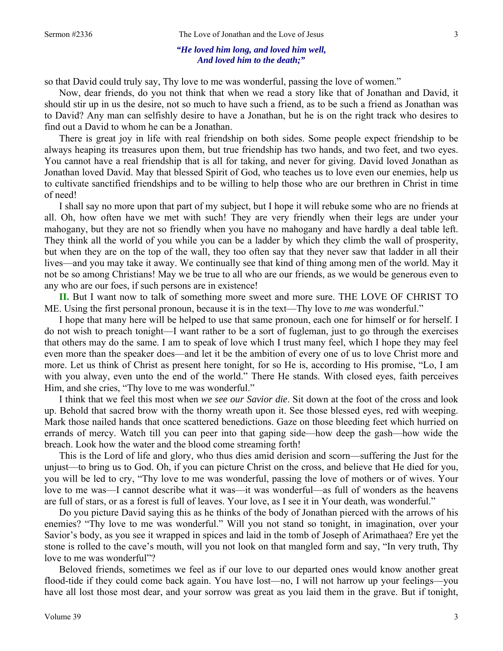#### *"He loved him long, and loved him well, And loved him to the death;"*

so that David could truly say, Thy love to me was wonderful, passing the love of women."

Now, dear friends, do you not think that when we read a story like that of Jonathan and David, it should stir up in us the desire, not so much to have such a friend, as to be such a friend as Jonathan was to David? Any man can selfishly desire to have a Jonathan, but he is on the right track who desires to find out a David to whom he can be a Jonathan.

There is great joy in life with real friendship on both sides. Some people expect friendship to be always heaping its treasures upon them, but true friendship has two hands, and two feet, and two eyes. You cannot have a real friendship that is all for taking, and never for giving. David loved Jonathan as Jonathan loved David. May that blessed Spirit of God, who teaches us to love even our enemies, help us to cultivate sanctified friendships and to be willing to help those who are our brethren in Christ in time of need!

I shall say no more upon that part of my subject, but I hope it will rebuke some who are no friends at all. Oh, how often have we met with such! They are very friendly when their legs are under your mahogany, but they are not so friendly when you have no mahogany and have hardly a deal table left. They think all the world of you while you can be a ladder by which they climb the wall of prosperity, but when they are on the top of the wall, they too often say that they never saw that ladder in all their lives—and you may take it away. We continually see that kind of thing among men of the world. May it not be so among Christians! May we be true to all who are our friends, as we would be generous even to any who are our foes, if such persons are in existence!

**II.** But I want now to talk of something more sweet and more sure. THE LOVE OF CHRIST TO ME. Using the first personal pronoun, because it is in the text—Thy love to *me* was wonderful."

I hope that many here will be helped to use that same pronoun, each one for himself or for herself. I do not wish to preach tonight—I want rather to be a sort of fugleman, just to go through the exercises that others may do the same. I am to speak of love which I trust many feel, which I hope they may feel even more than the speaker does—and let it be the ambition of every one of us to love Christ more and more. Let us think of Christ as present here tonight, for so He is, according to His promise, "Lo, I am with you alway, even unto the end of the world." There He stands. With closed eyes, faith perceives Him, and she cries, "Thy love to me was wonderful."

I think that we feel this most when *we see our Savior die*. Sit down at the foot of the cross and look up. Behold that sacred brow with the thorny wreath upon it. See those blessed eyes, red with weeping. Mark those nailed hands that once scattered benedictions. Gaze on those bleeding feet which hurried on errands of mercy. Watch till you can peer into that gaping side—how deep the gash—how wide the breach. Look how the water and the blood come streaming forth!

This is the Lord of life and glory, who thus dies amid derision and scorn—suffering the Just for the unjust—to bring us to God. Oh, if you can picture Christ on the cross, and believe that He died for you, you will be led to cry, "Thy love to me was wonderful, passing the love of mothers or of wives. Your love to me was—I cannot describe what it was—it was wonderful—as full of wonders as the heavens are full of stars, or as a forest is full of leaves. Your love, as I see it in Your death, was wonderful."

Do you picture David saying this as he thinks of the body of Jonathan pierced with the arrows of his enemies? "Thy love to me was wonderful." Will you not stand so tonight, in imagination, over your Savior's body, as you see it wrapped in spices and laid in the tomb of Joseph of Arimathaea? Ere yet the stone is rolled to the cave's mouth, will you not look on that mangled form and say, "In very truth, Thy love to me was wonderful"?

Beloved friends, sometimes we feel as if our love to our departed ones would know another great flood-tide if they could come back again. You have lost—no, I will not harrow up your feelings—you have all lost those most dear, and your sorrow was great as you laid them in the grave. But if tonight,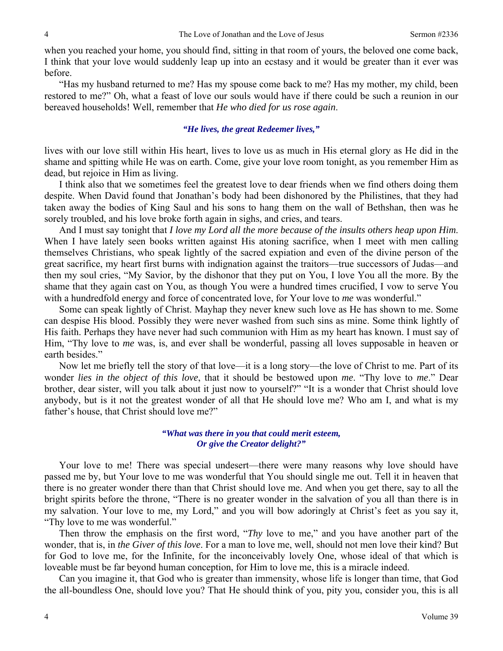when you reached your home, you should find, sitting in that room of yours, the beloved one come back, I think that your love would suddenly leap up into an ecstasy and it would be greater than it ever was before.

"Has my husband returned to me? Has my spouse come back to me? Has my mother, my child, been restored to me?" Oh, what a feast of love our souls would have if there could be such a reunion in our bereaved households! Well, remember that *He who died for us rose again*.

#### *"He lives, the great Redeemer lives,"*

lives with our love still within His heart, lives to love us as much in His eternal glory as He did in the shame and spitting while He was on earth. Come, give your love room tonight, as you remember Him as dead, but rejoice in Him as living.

I think also that we sometimes feel the greatest love to dear friends when we find others doing them despite. When David found that Jonathan's body had been dishonored by the Philistines, that they had taken away the bodies of King Saul and his sons to hang them on the wall of Bethshan, then was he sorely troubled, and his love broke forth again in sighs, and cries, and tears.

And I must say tonight that *I love my Lord all the more because of the insults others heap upon Him*. When I have lately seen books written against His atoning sacrifice, when I meet with men calling themselves Christians, who speak lightly of the sacred expiation and even of the divine person of the great sacrifice, my heart first burns with indignation against the traitors—true successors of Judas—and then my soul cries, "My Savior, by the dishonor that they put on You, I love You all the more. By the shame that they again cast on You, as though You were a hundred times crucified, I vow to serve You with a hundredfold energy and force of concentrated love, for Your love to *me* was wonderful."

Some can speak lightly of Christ. Mayhap they never knew such love as He has shown to me. Some can despise His blood. Possibly they were never washed from such sins as mine. Some think lightly of His faith. Perhaps they have never had such communion with Him as my heart has known. I must say of Him, "Thy love to *me* was, is, and ever shall be wonderful, passing all loves supposable in heaven or earth besides."

Now let me briefly tell the story of that love—it is a long story—the love of Christ to me. Part of its wonder *lies in the object of this love*, that it should be bestowed upon *me*. "Thy love to *me*." Dear brother, dear sister, will you talk about it just now to yourself?" "It is a wonder that Christ should love anybody, but is it not the greatest wonder of all that He should love me? Who am I, and what is my father's house, that Christ should love me?"

#### *"What was there in you that could merit esteem, Or give the Creator delight?"*

Your love to me! There was special undesert—there were many reasons why love should have passed me by, but Your love to me was wonderful that You should single me out. Tell it in heaven that there is no greater wonder there than that Christ should love me. And when you get there, say to all the bright spirits before the throne, "There is no greater wonder in the salvation of you all than there is in my salvation. Your love to me, my Lord," and you will bow adoringly at Christ's feet as you say it, "Thy love to me was wonderful."

Then throw the emphasis on the first word, "*Thy* love to me," and you have another part of the wonder, that is, in *the Giver of this love*. For a man to love me, well, should not men love their kind? But for God to love me, for the Infinite, for the inconceivably lovely One, whose ideal of that which is loveable must be far beyond human conception, for Him to love me, this is a miracle indeed.

Can you imagine it, that God who is greater than immensity, whose life is longer than time, that God the all-boundless One, should love you? That He should think of you, pity you, consider you, this is all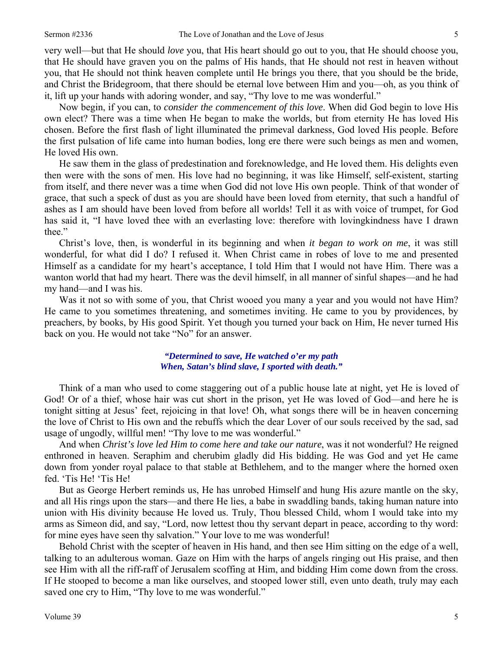very well—but that He should *love* you, that His heart should go out to you, that He should choose you, that He should have graven you on the palms of His hands, that He should not rest in heaven without you, that He should not think heaven complete until He brings you there, that you should be the bride, and Christ the Bridegroom, that there should be eternal love between Him and you—oh, as you think of it, lift up your hands with adoring wonder, and say, "Thy love to me was wonderful."

Now begin, if you can, to *consider the commencement of this love*. When did God begin to love His own elect? There was a time when He began to make the worlds, but from eternity He has loved His chosen. Before the first flash of light illuminated the primeval darkness, God loved His people. Before the first pulsation of life came into human bodies, long ere there were such beings as men and women, He loved His own.

He saw them in the glass of predestination and foreknowledge, and He loved them. His delights even then were with the sons of men. His love had no beginning, it was like Himself, self-existent, starting from itself, and there never was a time when God did not love His own people. Think of that wonder of grace, that such a speck of dust as you are should have been loved from eternity, that such a handful of ashes as I am should have been loved from before all worlds! Tell it as with voice of trumpet, for God has said it, "I have loved thee with an everlasting love: therefore with lovingkindness have I drawn thee."

Christ's love, then, is wonderful in its beginning and when *it began to work on me*, it was still wonderful, for what did I do? I refused it. When Christ came in robes of love to me and presented Himself as a candidate for my heart's acceptance, I told Him that I would not have Him. There was a wanton world that had my heart. There was the devil himself, in all manner of sinful shapes—and he had my hand—and I was his.

Was it not so with some of you, that Christ wooed you many a year and you would not have Him? He came to you sometimes threatening, and sometimes inviting. He came to you by providences, by preachers, by books, by His good Spirit. Yet though you turned your back on Him, He never turned His back on you. He would not take "No" for an answer.

> *"Determined to save, He watched o'er my path When, Satan's blind slave, I sported with death."*

Think of a man who used to come staggering out of a public house late at night, yet He is loved of God! Or of a thief, whose hair was cut short in the prison, yet He was loved of God—and here he is tonight sitting at Jesus' feet, rejoicing in that love! Oh, what songs there will be in heaven concerning the love of Christ to His own and the rebuffs which the dear Lover of our souls received by the sad, sad usage of ungodly, willful men! "Thy love to me was wonderful."

And when *Christ's love led Him to come here and take our nature*, was it not wonderful? He reigned enthroned in heaven. Seraphim and cherubim gladly did His bidding. He was God and yet He came down from yonder royal palace to that stable at Bethlehem, and to the manger where the horned oxen fed. 'Tis He! 'Tis He!

But as George Herbert reminds us, He has unrobed Himself and hung His azure mantle on the sky, and all His rings upon the stars—and there He lies, a babe in swaddling bands, taking human nature into union with His divinity because He loved us. Truly, Thou blessed Child, whom I would take into my arms as Simeon did, and say, "Lord, now lettest thou thy servant depart in peace, according to thy word: for mine eyes have seen thy salvation." Your love to me was wonderful!

Behold Christ with the scepter of heaven in His hand, and then see Him sitting on the edge of a well, talking to an adulterous woman. Gaze on Him with the harps of angels ringing out His praise, and then see Him with all the riff-raff of Jerusalem scoffing at Him, and bidding Him come down from the cross. If He stooped to become a man like ourselves, and stooped lower still, even unto death, truly may each saved one cry to Him, "Thy love to me was wonderful."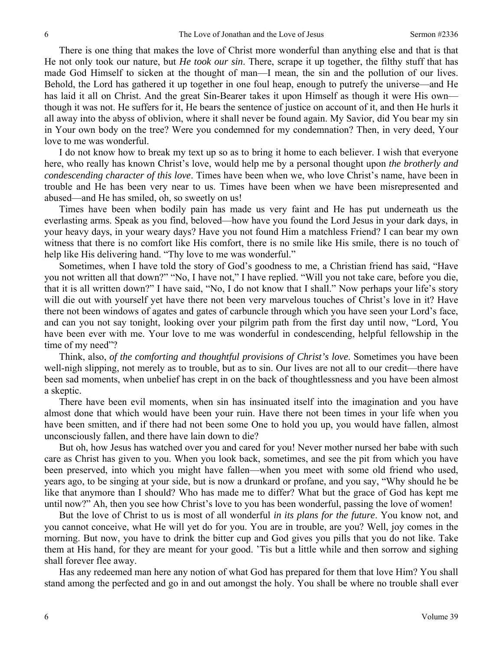There is one thing that makes the love of Christ more wonderful than anything else and that is that He not only took our nature, but *He took our sin*. There, scrape it up together, the filthy stuff that has made God Himself to sicken at the thought of man—I mean, the sin and the pollution of our lives. Behold, the Lord has gathered it up together in one foul heap, enough to putrefy the universe—and He has laid it all on Christ. And the great Sin-Bearer takes it upon Himself as though it were His own though it was not. He suffers for it, He bears the sentence of justice on account of it, and then He hurls it all away into the abyss of oblivion, where it shall never be found again. My Savior, did You bear my sin in Your own body on the tree? Were you condemned for my condemnation? Then, in very deed, Your love to me was wonderful.

I do not know how to break my text up so as to bring it home to each believer. I wish that everyone here, who really has known Christ's love, would help me by a personal thought upon *the brotherly and condescending character of this love*. Times have been when we, who love Christ's name, have been in trouble and He has been very near to us. Times have been when we have been misrepresented and abused—and He has smiled, oh, so sweetly on us!

Times have been when bodily pain has made us very faint and He has put underneath us the everlasting arms. Speak as you find, beloved—how have you found the Lord Jesus in your dark days, in your heavy days, in your weary days? Have you not found Him a matchless Friend? I can bear my own witness that there is no comfort like His comfort, there is no smile like His smile, there is no touch of help like His delivering hand. "Thy love to me was wonderful."

Sometimes, when I have told the story of God's goodness to me, a Christian friend has said, "Have you not written all that down?" "No, I have not," I have replied. "Will you not take care, before you die, that it is all written down?" I have said, "No, I do not know that I shall." Now perhaps your life's story will die out with yourself yet have there not been very marvelous touches of Christ's love in it? Have there not been windows of agates and gates of carbuncle through which you have seen your Lord's face, and can you not say tonight, looking over your pilgrim path from the first day until now, "Lord, You have been ever with me. Your love to me was wonderful in condescending, helpful fellowship in the time of my need"?

Think, also, *of the comforting and thoughtful provisions of Christ's love*. Sometimes you have been well-nigh slipping, not merely as to trouble, but as to sin. Our lives are not all to our credit—there have been sad moments, when unbelief has crept in on the back of thoughtlessness and you have been almost a skeptic.

There have been evil moments, when sin has insinuated itself into the imagination and you have almost done that which would have been your ruin. Have there not been times in your life when you have been smitten, and if there had not been some One to hold you up, you would have fallen, almost unconsciously fallen, and there have lain down to die?

But oh, how Jesus has watched over you and cared for you! Never mother nursed her babe with such care as Christ has given to you. When you look back, sometimes, and see the pit from which you have been preserved, into which you might have fallen—when you meet with some old friend who used, years ago, to be singing at your side, but is now a drunkard or profane, and you say, "Why should he be like that anymore than I should? Who has made me to differ? What but the grace of God has kept me until now?" Ah, then you see how Christ's love to you has been wonderful, passing the love of women!

But the love of Christ to us is most of all wonderful *in its plans for the future*. You know not, and you cannot conceive, what He will yet do for you. You are in trouble, are you? Well, joy comes in the morning. But now, you have to drink the bitter cup and God gives you pills that you do not like. Take them at His hand, for they are meant for your good. 'Tis but a little while and then sorrow and sighing shall forever flee away.

Has any redeemed man here any notion of what God has prepared for them that love Him? You shall stand among the perfected and go in and out amongst the holy. You shall be where no trouble shall ever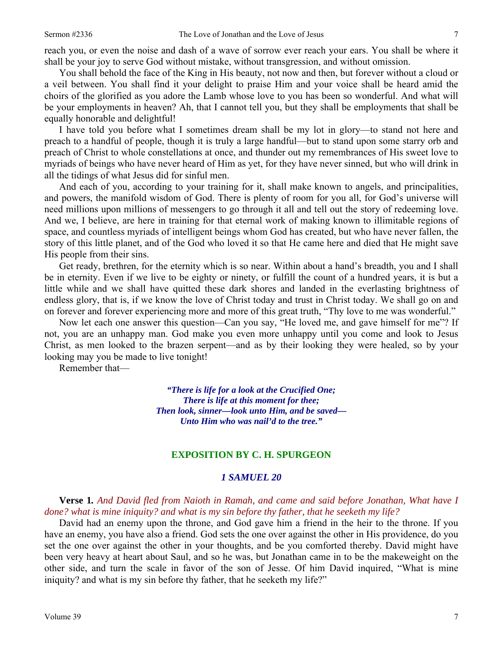reach you, or even the noise and dash of a wave of sorrow ever reach your ears. You shall be where it shall be your joy to serve God without mistake, without transgression, and without omission.

You shall behold the face of the King in His beauty, not now and then, but forever without a cloud or a veil between. You shall find it your delight to praise Him and your voice shall be heard amid the choirs of the glorified as you adore the Lamb whose love to you has been so wonderful. And what will be your employments in heaven? Ah, that I cannot tell you, but they shall be employments that shall be equally honorable and delightful!

I have told you before what I sometimes dream shall be my lot in glory—to stand not here and preach to a handful of people, though it is truly a large handful—but to stand upon some starry orb and preach of Christ to whole constellations at once, and thunder out my remembrances of His sweet love to myriads of beings who have never heard of Him as yet, for they have never sinned, but who will drink in all the tidings of what Jesus did for sinful men.

And each of you, according to your training for it, shall make known to angels, and principalities, and powers, the manifold wisdom of God. There is plenty of room for you all, for God's universe will need millions upon millions of messengers to go through it all and tell out the story of redeeming love. And we, I believe, are here in training for that eternal work of making known to illimitable regions of space, and countless myriads of intelligent beings whom God has created, but who have never fallen, the story of this little planet, and of the God who loved it so that He came here and died that He might save His people from their sins.

Get ready, brethren, for the eternity which is so near. Within about a hand's breadth, you and I shall be in eternity. Even if we live to be eighty or ninety, or fulfill the count of a hundred years, it is but a little while and we shall have quitted these dark shores and landed in the everlasting brightness of endless glory, that is, if we know the love of Christ today and trust in Christ today. We shall go on and on forever and forever experiencing more and more of this great truth, "Thy love to me was wonderful."

Now let each one answer this question—Can you say, "He loved me, and gave himself for me"? If not, you are an unhappy man. God make you even more unhappy until you come and look to Jesus Christ, as men looked to the brazen serpent—and as by their looking they were healed, so by your looking may you be made to live tonight!

Remember that—

*"There is life for a look at the Crucified One; There is life at this moment for thee; Then look, sinner—look unto Him, and be saved— Unto Him who was nail'd to the tree."* 

#### **EXPOSITION BY C. H. SPURGEON**

#### *1 SAMUEL 20*

**Verse 1***. And David fled from Naioth in Ramah, and came and said before Jonathan, What have I done? what is mine iniquity? and what is my sin before thy father, that he seeketh my life?*

David had an enemy upon the throne, and God gave him a friend in the heir to the throne. If you have an enemy, you have also a friend. God sets the one over against the other in His providence, do you set the one over against the other in your thoughts, and be you comforted thereby. David might have been very heavy at heart about Saul, and so he was, but Jonathan came in to be the makeweight on the other side, and turn the scale in favor of the son of Jesse. Of him David inquired, "What is mine iniquity? and what is my sin before thy father, that he seeketh my life?"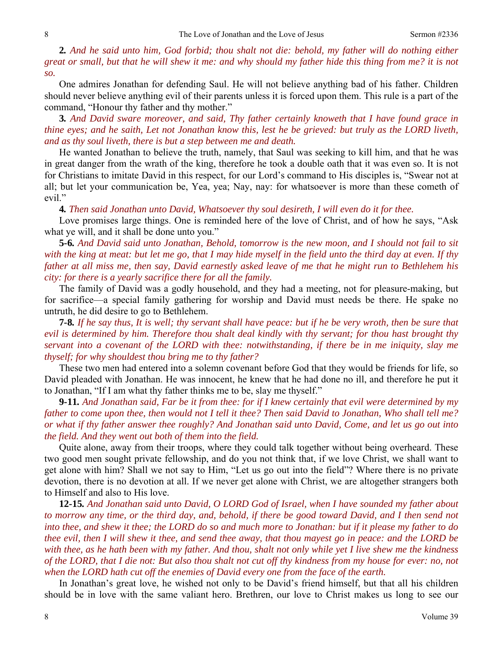**2***. And he said unto him, God forbid; thou shalt not die: behold, my father will do nothing either great or small, but that he will shew it me: and why should my father hide this thing from me? it is not so.*

One admires Jonathan for defending Saul. He will not believe anything bad of his father. Children should never believe anything evil of their parents unless it is forced upon them. This rule is a part of the command, "Honour thy father and thy mother."

**3***. And David sware moreover, and said, Thy father certainly knoweth that I have found grace in thine eyes; and he saith, Let not Jonathan know this, lest he be grieved: but truly as the LORD liveth, and as thy soul liveth, there is but a step between me and death.* 

He wanted Jonathan to believe the truth, namely, that Saul was seeking to kill him, and that he was in great danger from the wrath of the king, therefore he took a double oath that it was even so. It is not for Christians to imitate David in this respect, for our Lord's command to His disciples is, "Swear not at all; but let your communication be, Yea, yea; Nay, nay: for whatsoever is more than these cometh of evil."

**4***. Then said Jonathan unto David, Whatsoever thy soul desireth, I will even do it for thee.*

Love promises large things. One is reminded here of the love of Christ, and of how he says, "Ask what ye will, and it shall be done unto you."

**5***-***6***. And David said unto Jonathan, Behold, tomorrow is the new moon, and I should not fail to sit with the king at meat: but let me go, that I may hide myself in the field unto the third day at even. If thy father at all miss me, then say, David earnestly asked leave of me that he might run to Bethlehem his city: for there is a yearly sacrifice there for all the family.*

The family of David was a godly household, and they had a meeting, not for pleasure-making, but for sacrifice—a special family gathering for worship and David must needs be there. He spake no untruth, he did desire to go to Bethlehem.

**7***-***8***. If he say thus, It is well; thy servant shall have peace: but if he be very wroth, then be sure that evil is determined by him. Therefore thou shalt deal kindly with thy servant; for thou hast brought thy servant into a covenant of the LORD with thee: notwithstanding, if there be in me iniquity, slay me thyself; for why shouldest thou bring me to thy father?*

These two men had entered into a solemn covenant before God that they would be friends for life, so David pleaded with Jonathan. He was innocent, he knew that he had done no ill, and therefore he put it to Jonathan, "If I am what thy father thinks me to be, slay me thyself."

**9***-***11***. And Jonathan said, Far be it from thee: for if I knew certainly that evil were determined by my father to come upon thee, then would not I tell it thee? Then said David to Jonathan, Who shall tell me? or what if thy father answer thee roughly? And Jonathan said unto David, Come, and let us go out into the field. And they went out both of them into the field.* 

Quite alone, away from their troops, where they could talk together without being overheard. These two good men sought private fellowship, and do you not think that, if we love Christ, we shall want to get alone with him? Shall we not say to Him, "Let us go out into the field"? Where there is no private devotion, there is no devotion at all. If we never get alone with Christ, we are altogether strangers both to Himself and also to His love.

**12***-***15***. And Jonathan said unto David, O LORD God of Israel, when I have sounded my father about*  to morrow any time, or the third day, and, behold, if there be good toward David, and I then send not *into thee, and shew it thee; the LORD do so and much more to Jonathan: but if it please my father to do thee evil, then I will shew it thee, and send thee away, that thou mayest go in peace: and the LORD be with thee, as he hath been with my father. And thou, shalt not only while yet I live shew me the kindness of the LORD, that I die not: But also thou shalt not cut off thy kindness from my house for ever: no, not when the LORD hath cut off the enemies of David every one from the face of the earth.*

In Jonathan's great love, he wished not only to be David's friend himself, but that all his children should be in love with the same valiant hero. Brethren, our love to Christ makes us long to see our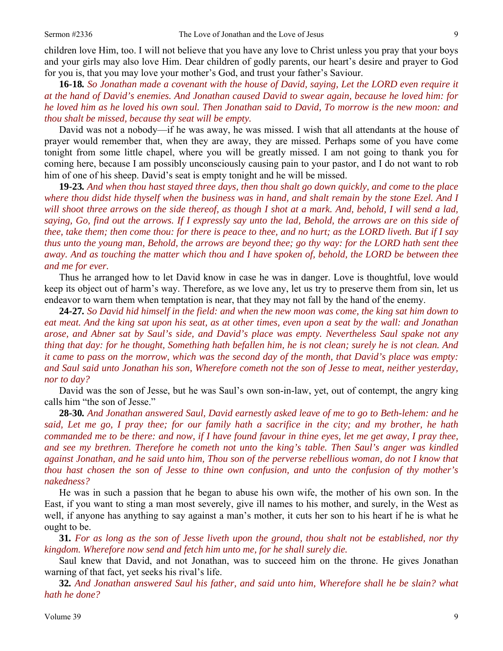children love Him, too. I will not believe that you have any love to Christ unless you pray that your boys and your girls may also love Him. Dear children of godly parents, our heart's desire and prayer to God for you is, that you may love your mother's God, and trust your father's Saviour.

**16***-***18***. So Jonathan made a covenant with the house of David, saying, Let the LORD even require it at the hand of David's enemies. And Jonathan caused David to swear again, because he loved him: for he loved him as he loved his own soul. Then Jonathan said to David, To morrow is the new moon: and thou shalt be missed, because thy seat will be empty.*

David was not a nobody—if he was away, he was missed. I wish that all attendants at the house of prayer would remember that, when they are away, they are missed. Perhaps some of you have come tonight from some little chapel, where you will be greatly missed. I am not going to thank you for coming here, because I am possibly unconsciously causing pain to your pastor, and I do not want to rob him of one of his sheep. David's seat is empty tonight and he will be missed.

**19***-***23***. And when thou hast stayed three days, then thou shalt go down quickly, and come to the place where thou didst hide thyself when the business was in hand, and shalt remain by the stone Ezel. And I will shoot three arrows on the side thereof, as though I shot at a mark. And, behold, I will send a lad, saying, Go, find out the arrows. If I expressly say unto the lad, Behold, the arrows are on this side of thee, take them; then come thou: for there is peace to thee, and no hurt; as the LORD liveth. But if I say thus unto the young man, Behold, the arrows are beyond thee; go thy way: for the LORD hath sent thee away. And as touching the matter which thou and I have spoken of, behold, the LORD be between thee and me for ever.*

Thus he arranged how to let David know in case he was in danger. Love is thoughtful, love would keep its object out of harm's way. Therefore, as we love any, let us try to preserve them from sin, let us endeavor to warn them when temptation is near, that they may not fall by the hand of the enemy.

**24***-***27***. So David hid himself in the field: and when the new moon was come, the king sat him down to eat meat. And the king sat upon his seat, as at other times, even upon a seat by the wall: and Jonathan arose, and Abner sat by Saul's side, and David's place was empty. Nevertheless Saul spake not any thing that day: for he thought, Something hath befallen him, he is not clean; surely he is not clean. And it came to pass on the morrow, which was the second day of the month, that David's place was empty: and Saul said unto Jonathan his son, Wherefore cometh not the son of Jesse to meat, neither yesterday, nor to day?*

David was the son of Jesse, but he was Saul's own son-in-law, yet, out of contempt, the angry king calls him "the son of Jesse."

**28***-***30***. And Jonathan answered Saul, David earnestly asked leave of me to go to Beth-lehem: and he said, Let me go, I pray thee; for our family hath a sacrifice in the city; and my brother, he hath commanded me to be there: and now, if I have found favour in thine eyes, let me get away, I pray thee, and see my brethren. Therefore he cometh not unto the king's table. Then Saul's anger was kindled against Jonathan, and he said unto him, Thou son of the perverse rebellious woman, do not I know that thou hast chosen the son of Jesse to thine own confusion, and unto the confusion of thy mother's nakedness?*

He was in such a passion that he began to abuse his own wife, the mother of his own son. In the East, if you want to sting a man most severely, give ill names to his mother, and surely, in the West as well, if anyone has anything to say against a man's mother, it cuts her son to his heart if he is what he ought to be.

**31***. For as long as the son of Jesse liveth upon the ground, thou shalt not be established, nor thy kingdom. Wherefore now send and fetch him unto me, for he shall surely die.*

Saul knew that David, and not Jonathan, was to succeed him on the throne. He gives Jonathan warning of that fact, yet seeks his rival's life.

**32***. And Jonathan answered Saul his father, and said unto him, Wherefore shall he be slain? what hath he done?*